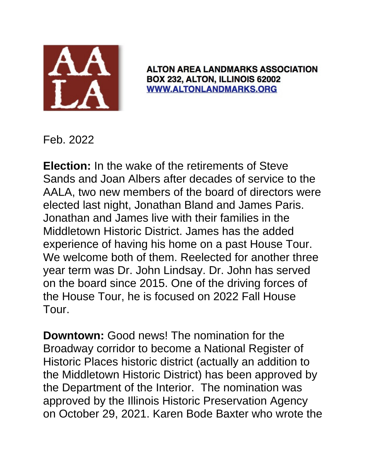

**ALTON AREA LANDMARKS ASSOCIATION** BOX 232, ALTON, ILLINOIS 62002 **WWW.ALTONLANDMARKS.ORG** 

Feb. 2022

**Election:** In the wake of the retirements of Steve Sands and Joan Albers after decades of service to the AALA, two new members of the board of directors were elected last night, Jonathan Bland and James Paris. Jonathan and James live with their families in the Middletown Historic District. James has the added experience of having his home on a past House Tour. We welcome both of them. Reelected for another three year term was Dr. John Lindsay. Dr. John has served on the board since 2015. One of the driving forces of the House Tour, he is focused on 2022 Fall House Tour.

**Downtown:** Good news! The nomination for the Broadway corridor to become a National Register of Historic Places historic district (actually an addition to the Middletown Historic District) has been approved by the Department of the Interior. The nomination was approved by the Illinois Historic Preservation Agency on October 29, 2021. Karen Bode Baxter who wrote the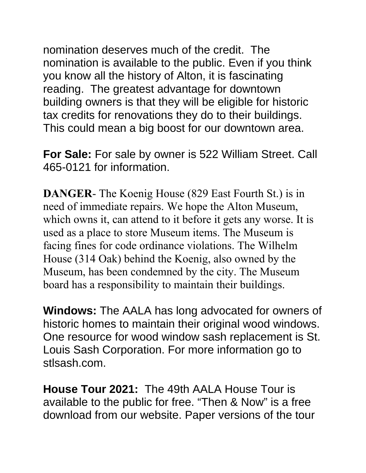nomination deserves much of the credit. The nomination is available to the public. Even if you think you know all the history of Alton, it is fascinating reading. The greatest advantage for downtown building owners is that they will be eligible for historic tax credits for renovations they do to their buildings. This could mean a big boost for our downtown area.

**For Sale:** For sale by owner is 522 William Street. Call 465-0121 for information.

**DANGER**- The Koenig House (829 East Fourth St.) is in need of immediate repairs. We hope the Alton Museum, which owns it, can attend to it before it gets any worse. It is used as a place to store Museum items. The Museum is facing fines for code ordinance violations. The Wilhelm House (314 Oak) behind the Koenig, also owned by the Museum, has been condemned by the city. The Museum board has a responsibility to maintain their buildings.

**Windows:** The AALA has long advocated for owners of historic homes to maintain their original wood windows. One resource for wood window sash replacement is St. Louis Sash Corporation. For more information go to stlsash.com.

**House Tour 2021:** The 49th AALA House Tour is available to the public for free. "Then & Now" is a free download from our website. Paper versions of the tour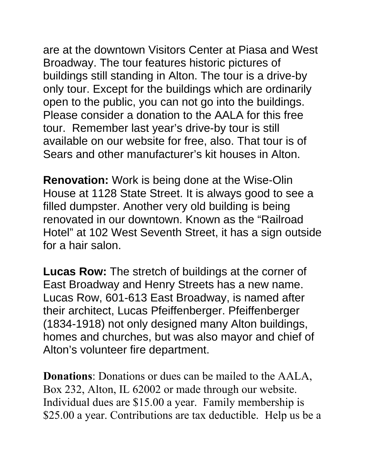are at the downtown Visitors Center at Piasa and West Broadway. The tour features historic pictures of buildings still standing in Alton. The tour is a drive-by only tour. Except for the buildings which are ordinarily open to the public, you can not go into the buildings. Please consider a donation to the AALA for this free tour. Remember last year's drive-by tour is still available on our website for free, also. That tour is of Sears and other manufacturer's kit houses in Alton.

**Renovation:** Work is being done at the Wise-Olin House at 1128 State Street. It is always good to see a filled dumpster. Another very old building is being renovated in our downtown. Known as the "Railroad Hotel" at 102 West Seventh Street, it has a sign outside for a hair salon.

**Lucas Row:** The stretch of buildings at the corner of East Broadway and Henry Streets has a new name. Lucas Row, 601-613 East Broadway, is named after their architect, Lucas Pfeiffenberger. Pfeiffenberger (1834-1918) not only designed many Alton buildings, homes and churches, but was also mayor and chief of Alton's volunteer fire department.

**Donations**: Donations or dues can be mailed to the AALA, Box 232, Alton, IL 62002 or made through our website. Individual dues are \$15.00 a year. Family membership is \$25.00 a year. Contributions are tax deductible. Help us be a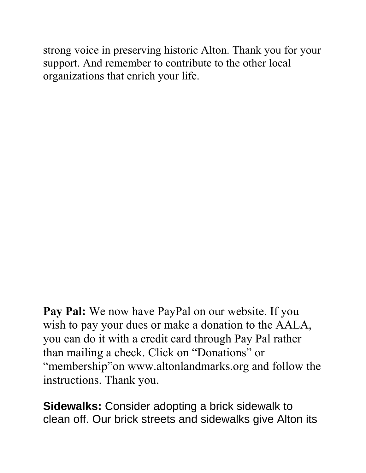strong voice in preserving historic Alton. Thank you for your support. And remember to contribute to the other local organizations that enrich your life.

**Pay Pal:** We now have PayPal on our website. If you wish to pay your dues or make a donation to the AALA, you can do it with a credit card through Pay Pal rather than mailing a check. Click on "Donations" or "membership"on www.altonlandmarks.org and follow the instructions. Thank you.

**Sidewalks:** Consider adopting a brick sidewalk to clean off. Our brick streets and sidewalks give Alton its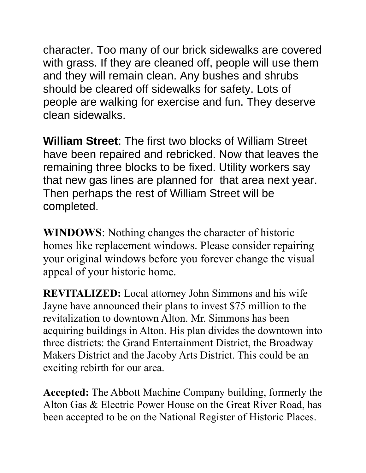character. Too many of our brick sidewalks are covered with grass. If they are cleaned off, people will use them and they will remain clean. Any bushes and shrubs should be cleared off sidewalks for safety. Lots of people are walking for exercise and fun. They deserve clean sidewalks.

**William Street**: The first two blocks of William Street have been repaired and rebricked. Now that leaves the remaining three blocks to be fixed. Utility workers say that new gas lines are planned for that area next year. Then perhaps the rest of William Street will be completed.

**WINDOWS**: Nothing changes the character of historic homes like replacement windows. Please consider repairing your original windows before you forever change the visual appeal of your historic home.

**REVITALIZED:** Local attorney John Simmons and his wife Jayne have announced their plans to invest \$75 million to the revitalization to downtown Alton. Mr. Simmons has been acquiring buildings in Alton. His plan divides the downtown into three districts: the Grand Entertainment District, the Broadway Makers District and the Jacoby Arts District. This could be an exciting rebirth for our area.

**Accepted:** The Abbott Machine Company building, formerly the Alton Gas & Electric Power House on the Great River Road, has been accepted to be on the National Register of Historic Places.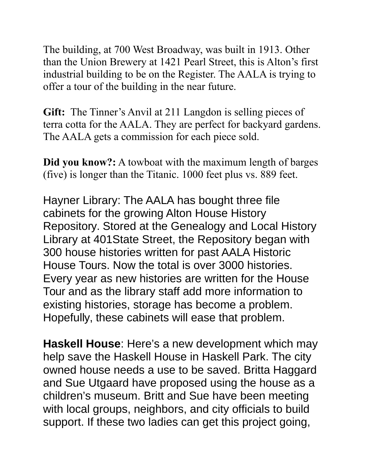The building, at 700 West Broadway, was built in 1913. Other than the Union Brewery at 1421 Pearl Street, this is Alton's first industrial building to be on the Register. The AALA is trying to offer a tour of the building in the near future.

**Gift:** The Tinner's Anvil at 211 Langdon is selling pieces of terra cotta for the AALA. They are perfect for backyard gardens. The AALA gets a commission for each piece sold.

**Did you know?:** A towboat with the maximum length of barges (five) is longer than the Titanic. 1000 feet plus vs. 889 feet.

Hayner Library: The AALA has bought three file cabinets for the growing Alton House History Repository. Stored at the Genealogy and Local History Library at 401State Street, the Repository began with 300 house histories written for past AALA Historic House Tours. Now the total is over 3000 histories. Every year as new histories are written for the House Tour and as the library staff add more information to existing histories, storage has become a problem. Hopefully, these cabinets will ease that problem.

**Haskell House**: Here's a new development which may help save the Haskell House in Haskell Park. The city owned house needs a use to be saved. Britta Haggard and Sue Utgaard have proposed using the house as a children's museum. Britt and Sue have been meeting with local groups, neighbors, and city officials to build support. If these two ladies can get this project going,